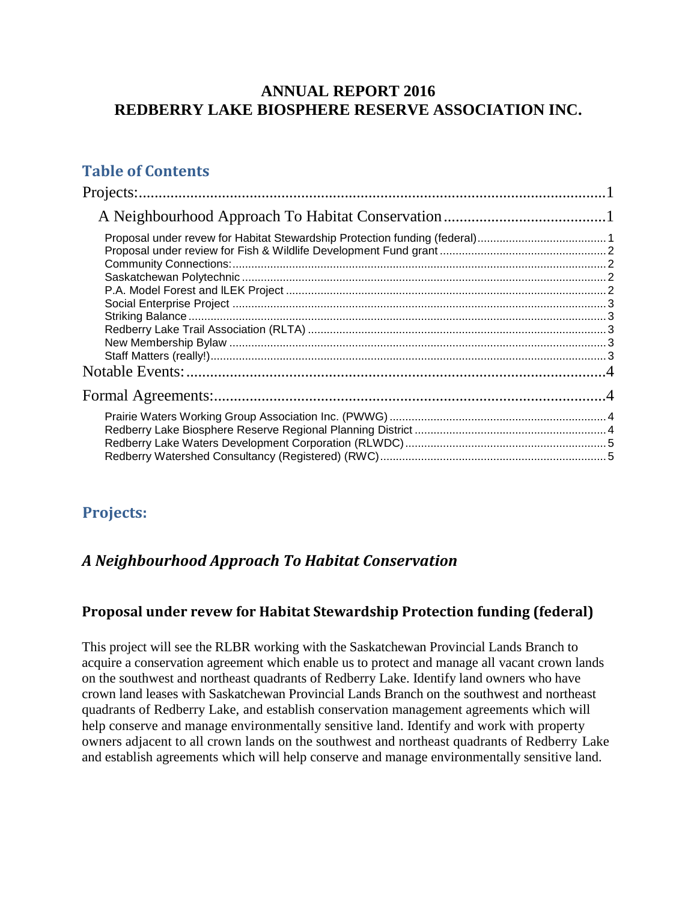## **ANNUAL REPORT 2016 REDBERRY LAKE BIOSPHERE RESERVE ASSOCIATION INC.**

# **Table of Contents**

### <span id="page-0-0"></span>**Projects:**

### <span id="page-0-1"></span>*A Neighbourhood Approach To Habitat Conservation*

#### <span id="page-0-2"></span>**Proposal under revew for Habitat Stewardship Protection funding (federal)**

This project will see the RLBR working with the Saskatchewan Provincial Lands Branch to acquire a conservation agreement which enable us to protect and manage all vacant crown lands on the southwest and northeast quadrants of Redberry Lake. Identify land owners who have crown land leases with Saskatchewan Provincial Lands Branch on the southwest and northeast quadrants of Redberry Lake, and establish conservation management agreements which will help conserve and manage environmentally sensitive land. Identify and work with property owners adjacent to all crown lands on the southwest and northeast quadrants of Redberry Lake and establish agreements which will help conserve and manage environmentally sensitive land.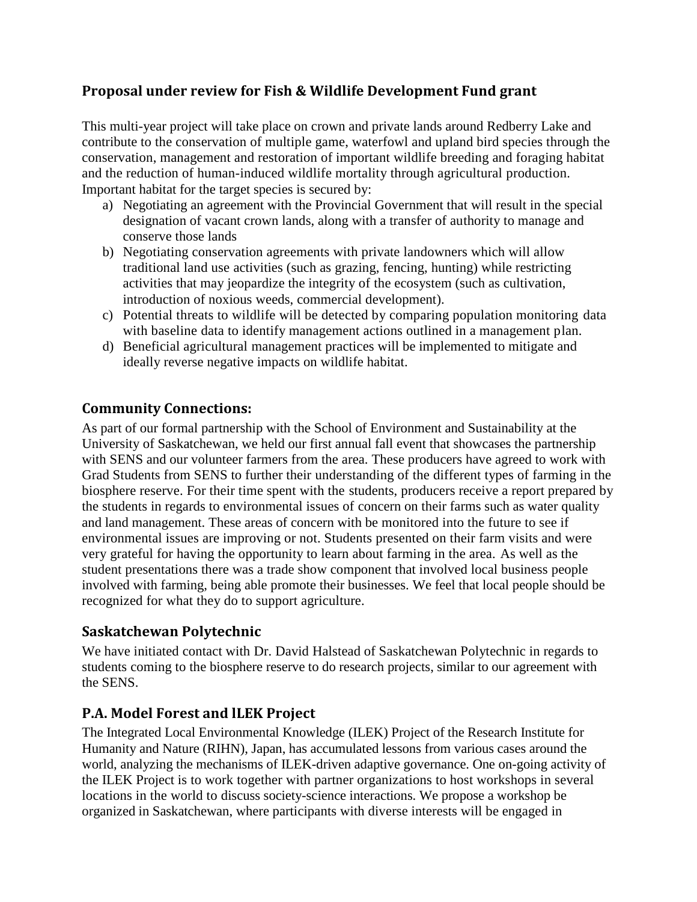### <span id="page-1-0"></span>**Proposal under review for Fish & Wildlife Development Fund grant**

This multi-year project will take place on crown and private lands around Redberry Lake and contribute to the conservation of multiple game, waterfowl and upland bird species through the conservation, management and restoration of important wildlife breeding and foraging habitat and the reduction of human-induced wildlife mortality through agricultural production. Important habitat for the target species is secured by:

- a) Negotiating an agreement with the Provincial Government that will result in the special designation of vacant crown lands, along with a transfer of authority to manage and conserve those lands
- b) Negotiating conservation agreements with private landowners which will allow traditional land use activities (such as grazing, fencing, hunting) while restricting activities that may jeopardize the integrity of the ecosystem (such as cultivation, introduction of noxious weeds, commercial development).
- c) Potential threats to wildlife will be detected by comparing population monitoring data with baseline data to identify management actions outlined in a management plan.
- d) Beneficial agricultural management practices will be implemented to mitigate and ideally reverse negative impacts on wildlife habitat.

#### <span id="page-1-1"></span>**Community Connections:**

As part of our formal partnership with the School of Environment and Sustainability at the University of Saskatchewan, we held our first annual fall event that showcases the partnership with SENS and our volunteer farmers from the area. These producers have agreed to work with Grad Students from SENS to further their understanding of the different types of farming in the biosphere reserve. For their time spent with the students, producers receive a report prepared by the students in regards to environmental issues of concern on their farms such as water quality and land management. These areas of concern with be monitored into the future to see if environmental issues are improving or not. Students presented on their farm visits and were very grateful for having the opportunity to learn about farming in the area. As well as the student presentations there was a trade show component that involved local business people involved with farming, being able promote their businesses. We feel that local people should be recognized for what they do to support agriculture.

#### <span id="page-1-2"></span>**Saskatchewan Polytechnic**

We have initiated contact with Dr. David Halstead of Saskatchewan Polytechnic in regards to students coming to the biosphere reserve to do research projects, similar to our agreement with the SENS.

### <span id="page-1-3"></span>**P.A. Model Forest and lLEK Project**

The Integrated Local Environmental Knowledge (ILEK) Project of the Research Institute for Humanity and Nature (RIHN), Japan, has accumulated lessons from various cases around the world, analyzing the mechanisms of ILEK-driven adaptive governance. One on-going activity of the ILEK Project is to work together with partner organizations to host workshops in several locations in the world to discuss society-science interactions. We propose a workshop be organized in Saskatchewan, where participants with diverse interests will be engaged in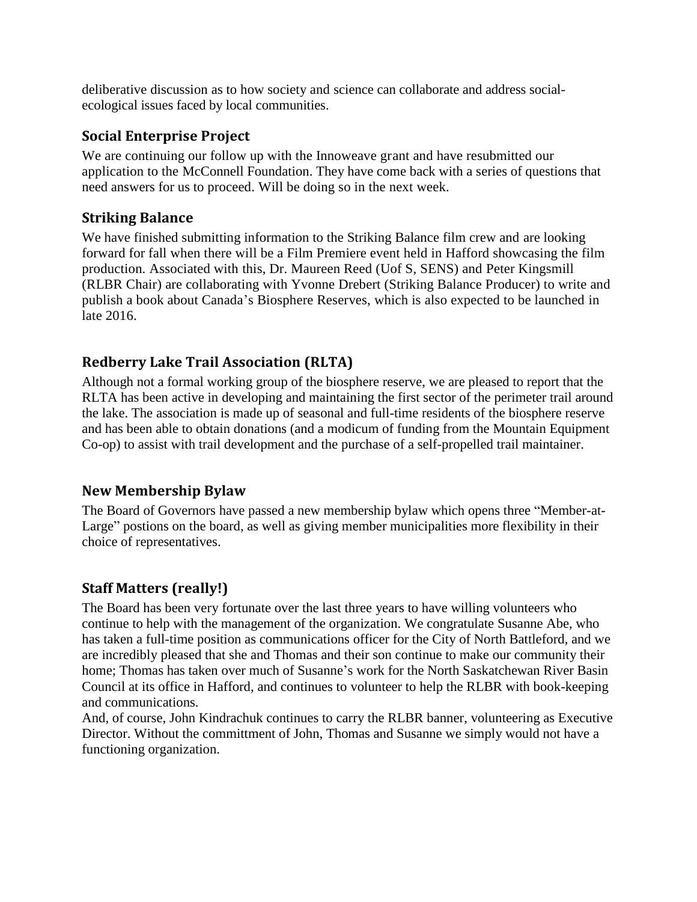deliberative discussion as to how society and science can collaborate and address socialecological issues faced by local communities.

#### <span id="page-2-0"></span>**Social Enterprise Project**

We are continuing our follow up with the Innoweave grant and have resubmitted our application to the McConnell Foundation. They have come back with a series of questions that need answers for us to proceed. Will be doing so in the next week.

### <span id="page-2-1"></span>**Striking Balance**

We have finished submitting information to the Striking Balance film crew and are looking forward for fall when there will be a Film Premiere event held in Hafford showcasing the film production. Associated with this, Dr. Maureen Reed (Uof S, SENS) and Peter Kingsmill (RLBR Chair) are collaborating with Yvonne Drebert (Striking Balance Producer) to write and publish a book about Canada's Biosphere Reserves, which is also expected to be launched in late 2016.

## <span id="page-2-2"></span>**Redberry Lake Trail Association (RLTA)**

Although not a formal working group of the biosphere reserve, we are pleased to report that the RLTA has been active in developing and maintaining the first sector of the perimeter trail around the lake. The association is made up of seasonal and full-time residents of the biosphere reserve and has been able to obtain donations (and a modicum of funding from the Mountain Equipment Co-op) to assist with trail development and the purchase of a self-propelled trail maintainer.

### <span id="page-2-3"></span>**New Membership Bylaw**

The Board of Governors have passed a new membership bylaw which opens three "Member-at-Large" postions on the board, as well as giving member municipalities more flexibility in their choice of representatives.

### <span id="page-2-4"></span>**Staff Matters (really!)**

The Board has been very fortunate over the last three years to have willing volunteers who continue to help with the management of the organization. We congratulate Susanne Abe, who has taken a full-time position as communications officer for the City of North Battleford, and we are incredibly pleased that she and Thomas and their son continue to make our community their home; Thomas has taken over much of Susanne's work for the North Saskatchewan River Basin Council at its office in Hafford, and continues to volunteer to help the RLBR with book-keeping and communications.

And, of course, John Kindrachuk continues to carry the RLBR banner, volunteering as Executive Director. Without the committment of John, Thomas and Susanne we simply would not have a functioning organization.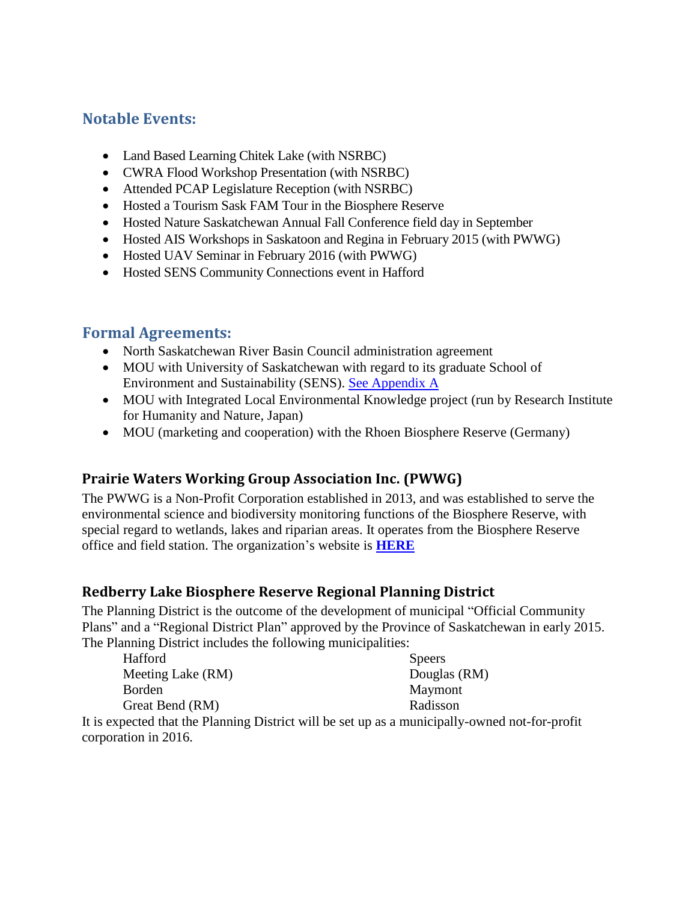## <span id="page-3-0"></span>**Notable Events:**

- Land Based Learning Chitek Lake (with NSRBC)
- CWRA Flood Workshop Presentation (with NSRBC)
- Attended PCAP Legislature Reception (with NSRBC)
- Hosted a Tourism Sask FAM Tour in the Biosphere Reserve
- Hosted Nature Saskatchewan Annual Fall Conference field day in September
- Hosted AIS Workshops in Saskatoon and Regina in February 2015 (with PWWG)
- Hosted UAV Seminar in February 2016 (with PWWG)
- Hosted SENS Community Connections event in Hafford

# <span id="page-3-1"></span>**Formal Agreements:**

- North Saskatchewan River Basin Council administration agreement
- MOU with University of Saskatchewan with regard to its graduate School of Environment and Sustainability (SENS). See Appendix A
- MOU with Integrated Local Environmental Knowledge project (run by Research Institute for Humanity and Nature, Japan)
- MOU (marketing and cooperation) with the Rhoen Biosphere Reserve (Germany)

### <span id="page-3-2"></span>**Prairie Waters Working Group Association Inc. (PWWG)**

The PWWG is a Non-Profit Corporation established in 2013, and was established to serve the environmental science and biodiversity monitoring functions of the Biosphere Reserve, with special regard to wetlands, lakes and riparian areas. It operates from the Biosphere Reserve office and field station. The organization's website is **[HERE](http://www.prairiewaters.ca/)**

### <span id="page-3-3"></span>**Redberry Lake Biosphere Reserve Regional Planning District**

The Planning District is the outcome of the development of municipal "Official Community Plans" and a "Regional District Plan" approved by the Province of Saskatchewan in early 2015. The Planning District includes the following municipalities:

| Hafford           | <b>Speers</b> |
|-------------------|---------------|
| Meeting Lake (RM) | Douglas (RM)  |
| <b>Borden</b>     | Maymont       |
| Great Bend (RM)   | Radisson      |

It is expected that the Planning District will be set up as a municipally-owned not-for-profit corporation in 2016.